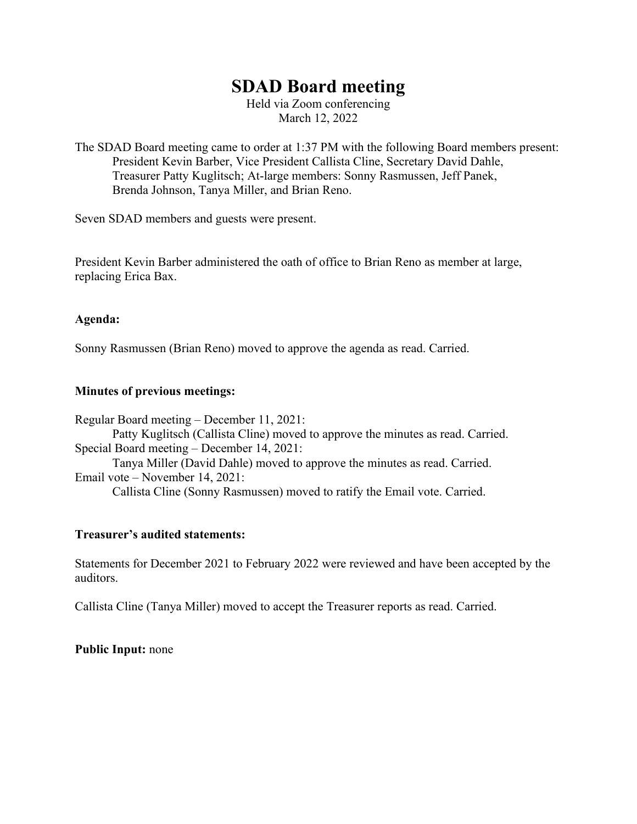# **SDAD Board meeting**

Held via Zoom conferencing March 12, 2022

The SDAD Board meeting came to order at 1:37 PM with the following Board members present: President Kevin Barber, Vice President Callista Cline, Secretary David Dahle, Treasurer Patty Kuglitsch; At-large members: Sonny Rasmussen, Jeff Panek, Brenda Johnson, Tanya Miller, and Brian Reno.

Seven SDAD members and guests were present.

President Kevin Barber administered the oath of office to Brian Reno as member at large, replacing Erica Bax.

### **Agenda:**

Sonny Rasmussen (Brian Reno) moved to approve the agenda as read. Carried.

### **Minutes of previous meetings:**

Regular Board meeting – December 11, 2021: Patty Kuglitsch (Callista Cline) moved to approve the minutes as read. Carried. Special Board meeting – December 14, 2021: Tanya Miller (David Dahle) moved to approve the minutes as read. Carried. Email vote – November 14, 2021: Callista Cline (Sonny Rasmussen) moved to ratify the Email vote. Carried.

### **Treasurer's audited statements:**

Statements for December 2021 to February 2022 were reviewed and have been accepted by the auditors.

Callista Cline (Tanya Miller) moved to accept the Treasurer reports as read. Carried.

### **Public Input:** none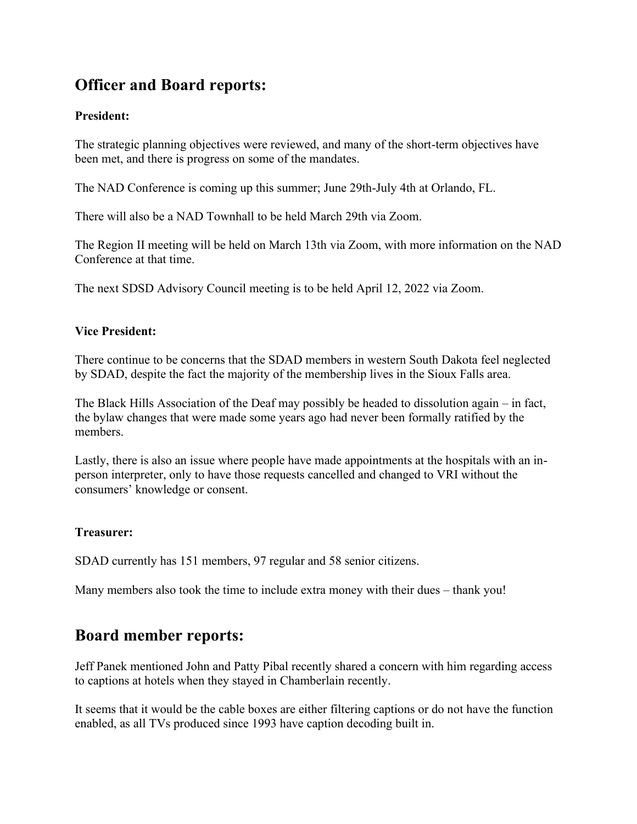# **Officer and Board reports:**

### **President:**

The strategic planning objectives were reviewed, and many of the short-term objectives have been met, and there is progress on some of the mandates.

The NAD Conference is coming up this summer; June 29th-July 4th at Orlando, FL.

There will also be a NAD Townhall to be held March 29th via Zoom.

The Region II meeting will be held on March 13th via Zoom, with more information on the NAD Conference at that time.

The next SDSD Advisory Council meeting is to be held April 12, 2022 via Zoom.

### **Vice President:**

There continue to be concerns that the SDAD members in western South Dakota feel neglected by SDAD, despite the fact the majority of the membership lives in the Sioux Falls area.

The Black Hills Association of the Deaf may possibly be headed to dissolution again – in fact, the bylaw changes that were made some years ago had never been formally ratified by the members.

Lastly, there is also an issue where people have made appointments at the hospitals with an inperson interpreter, only to have those requests cancelled and changed to VRI without the consumers' knowledge or consent.

### **Treasurer:**

SDAD currently has 151 members, 97 regular and 58 senior citizens.

Many members also took the time to include extra money with their dues – thank you!

## **Board member reports:**

Jeff Panek mentioned John and Patty Pibal recently shared a concern with him regarding access to captions at hotels when they stayed in Chamberlain recently.

It seems that it would be the cable boxes are either filtering captions or do not have the function enabled, as all TVs produced since 1993 have caption decoding built in.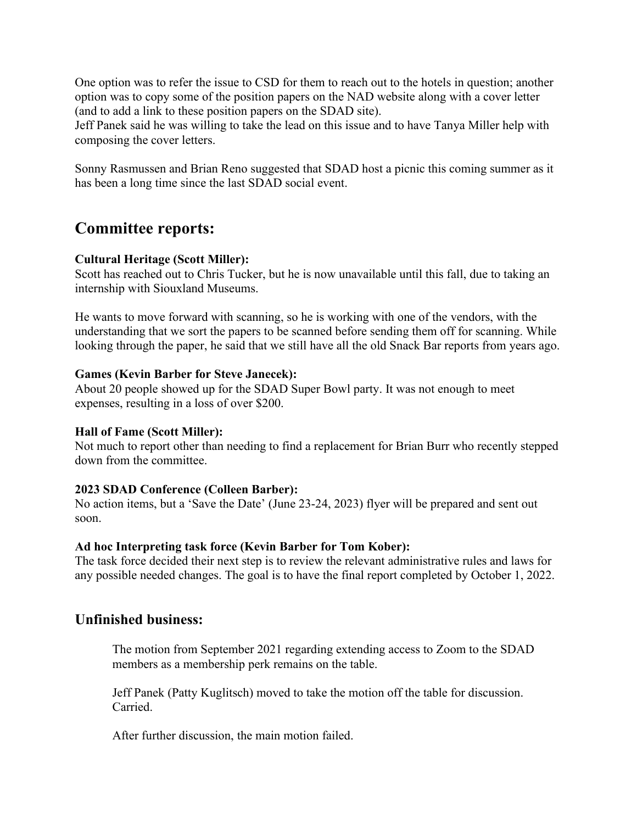One option was to refer the issue to CSD for them to reach out to the hotels in question; another option was to copy some of the position papers on the NAD website along with a cover letter (and to add a link to these position papers on the SDAD site).

Jeff Panek said he was willing to take the lead on this issue and to have Tanya Miller help with composing the cover letters.

Sonny Rasmussen and Brian Reno suggested that SDAD host a picnic this coming summer as it has been a long time since the last SDAD social event.

## **Committee reports:**

### **Cultural Heritage (Scott Miller):**

Scott has reached out to Chris Tucker, but he is now unavailable until this fall, due to taking an internship with Siouxland Museums.

He wants to move forward with scanning, so he is working with one of the vendors, with the understanding that we sort the papers to be scanned before sending them off for scanning. While looking through the paper, he said that we still have all the old Snack Bar reports from years ago.

### **Games (Kevin Barber for Steve Janecek):**

About 20 people showed up for the SDAD Super Bowl party. It was not enough to meet expenses, resulting in a loss of over \$200.

### **Hall of Fame (Scott Miller):**

Not much to report other than needing to find a replacement for Brian Burr who recently stepped down from the committee.

### **2023 SDAD Conference (Colleen Barber):**

No action items, but a 'Save the Date' (June 23-24, 2023) flyer will be prepared and sent out soon.

### **Ad hoc Interpreting task force (Kevin Barber for Tom Kober):**

The task force decided their next step is to review the relevant administrative rules and laws for any possible needed changes. The goal is to have the final report completed by October 1, 2022.

### **Unfinished business:**

The motion from September 2021 regarding extending access to Zoom to the SDAD members as a membership perk remains on the table.

Jeff Panek (Patty Kuglitsch) moved to take the motion off the table for discussion. Carried.

After further discussion, the main motion failed.